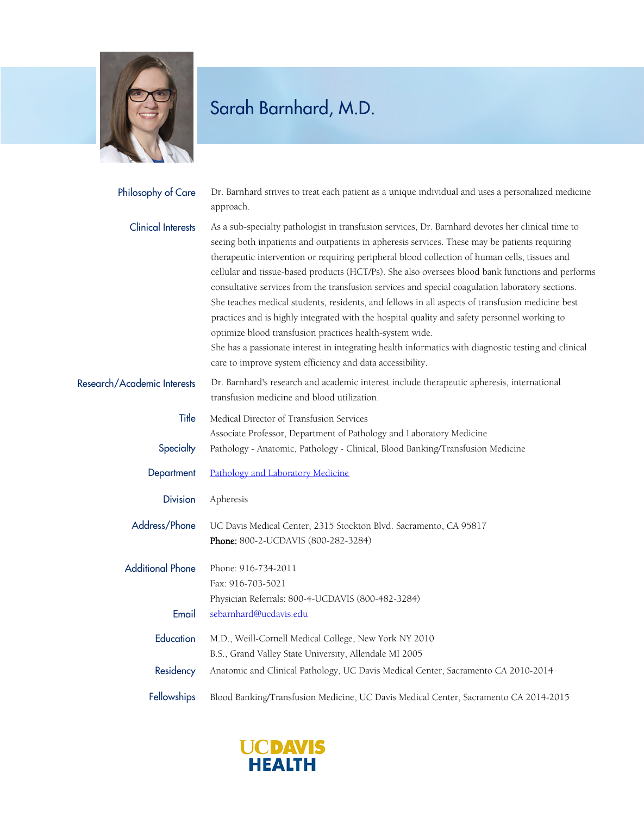

## Sarah Barnhard, M.D.

| Philosophy of Care          | Dr. Barnhard strives to treat each patient as a unique individual and uses a personalized medicine<br>approach.                                                                                                                                                                                                                                                                                                                                                                                                                                                                                                                                                                                                                                                                                                                                                                                                                                  |
|-----------------------------|--------------------------------------------------------------------------------------------------------------------------------------------------------------------------------------------------------------------------------------------------------------------------------------------------------------------------------------------------------------------------------------------------------------------------------------------------------------------------------------------------------------------------------------------------------------------------------------------------------------------------------------------------------------------------------------------------------------------------------------------------------------------------------------------------------------------------------------------------------------------------------------------------------------------------------------------------|
| <b>Clinical Interests</b>   | As a sub-specialty pathologist in transfusion services, Dr. Barnhard devotes her clinical time to<br>seeing both inpatients and outpatients in apheresis services. These may be patients requiring<br>therapeutic intervention or requiring peripheral blood collection of human cells, tissues and<br>cellular and tissue-based products (HCT/Ps). She also oversees blood bank functions and performs<br>consultative services from the transfusion services and special coagulation laboratory sections.<br>She teaches medical students, residents, and fellows in all aspects of transfusion medicine best<br>practices and is highly integrated with the hospital quality and safety personnel working to<br>optimize blood transfusion practices health-system wide.<br>She has a passionate interest in integrating health informatics with diagnostic testing and clinical<br>care to improve system efficiency and data accessibility. |
| Research/Academic Interests | Dr. Barnhard's research and academic interest include therapeutic apheresis, international<br>transfusion medicine and blood utilization.                                                                                                                                                                                                                                                                                                                                                                                                                                                                                                                                                                                                                                                                                                                                                                                                        |
| Title                       | Medical Director of Transfusion Services<br>Associate Professor, Department of Pathology and Laboratory Medicine                                                                                                                                                                                                                                                                                                                                                                                                                                                                                                                                                                                                                                                                                                                                                                                                                                 |
| Specialty                   | Pathology - Anatomic, Pathology - Clinical, Blood Banking/Transfusion Medicine                                                                                                                                                                                                                                                                                                                                                                                                                                                                                                                                                                                                                                                                                                                                                                                                                                                                   |
| Department                  | Pathology and Laboratory Medicine                                                                                                                                                                                                                                                                                                                                                                                                                                                                                                                                                                                                                                                                                                                                                                                                                                                                                                                |
| <b>Division</b>             | Apheresis                                                                                                                                                                                                                                                                                                                                                                                                                                                                                                                                                                                                                                                                                                                                                                                                                                                                                                                                        |
| Address/Phone               | UC Davis Medical Center, 2315 Stockton Blvd. Sacramento, CA 95817<br>Phone: 800-2-UCDAVIS (800-282-3284)                                                                                                                                                                                                                                                                                                                                                                                                                                                                                                                                                                                                                                                                                                                                                                                                                                         |
| <b>Additional Phone</b>     | Phone: 916-734-2011<br>Fax: 916-703-5021<br>Physician Referrals: 800-4-UCDAVIS (800-482-3284)                                                                                                                                                                                                                                                                                                                                                                                                                                                                                                                                                                                                                                                                                                                                                                                                                                                    |
| Email                       | sebarnhard@ucdavis.edu                                                                                                                                                                                                                                                                                                                                                                                                                                                                                                                                                                                                                                                                                                                                                                                                                                                                                                                           |
| Education                   | M.D., Weill-Cornell Medical College, New York NY 2010<br>B.S., Grand Valley State University, Allendale MI 2005                                                                                                                                                                                                                                                                                                                                                                                                                                                                                                                                                                                                                                                                                                                                                                                                                                  |
| Residency                   | Anatomic and Clinical Pathology, UC Davis Medical Center, Sacramento CA 2010-2014                                                                                                                                                                                                                                                                                                                                                                                                                                                                                                                                                                                                                                                                                                                                                                                                                                                                |
| Fellowships                 | Blood Banking/Transfusion Medicine, UC Davis Medical Center, Sacramento CA 2014-2015                                                                                                                                                                                                                                                                                                                                                                                                                                                                                                                                                                                                                                                                                                                                                                                                                                                             |

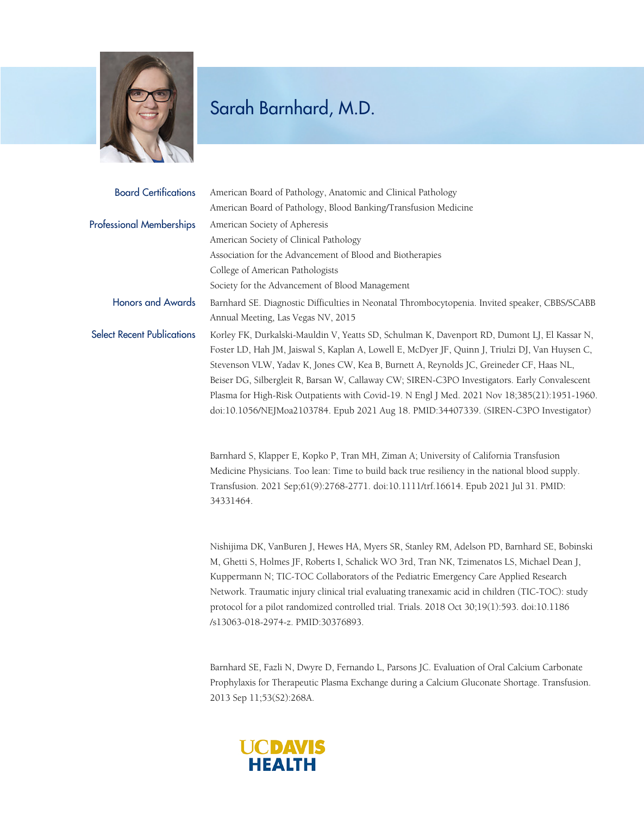

## Sarah Barnhard, M.D.

| <b>Board Certifications</b>       | American Board of Pathology, Anatomic and Clinical Pathology                                    |
|-----------------------------------|-------------------------------------------------------------------------------------------------|
|                                   | American Board of Pathology, Blood Banking/Transfusion Medicine                                 |
| <b>Professional Memberships</b>   | American Society of Apheresis                                                                   |
|                                   | American Society of Clinical Pathology                                                          |
|                                   | Association for the Advancement of Blood and Biotherapies                                       |
|                                   | College of American Pathologists                                                                |
|                                   | Society for the Advancement of Blood Management                                                 |
| <b>Honors and Awards</b>          | Barnhard SE. Diagnostic Difficulties in Neonatal Thrombocytopenia. Invited speaker, CBBS/SCABB  |
|                                   | Annual Meeting, Las Vegas NV, 2015                                                              |
| <b>Select Recent Publications</b> | Korley FK, Durkalski-Mauldin V, Yeatts SD, Schulman K, Davenport RD, Dumont LJ, El Kassar N,    |
|                                   | Foster LD, Hah JM, Jaiswal S, Kaplan A, Lowell E, McDyer JF, Quinn J, Triulzi DJ, Van Huysen C, |
|                                   | Stevenson VLW, Yadav K, Jones CW, Kea B, Burnett A, Reynolds JC, Greineder CF, Haas NL,         |
|                                   | Beiser DG, Silbergleit R, Barsan W, Callaway CW; SIREN-C3PO Investigators. Early Convalescent   |
|                                   | Plasma for High-Risk Outpatients with Covid-19. N Engl J Med. 2021 Nov 18;385(21):1951-1960.    |
|                                   | doi:10.1056/NEJMoa2103784. Epub 2021 Aug 18. PMID:34407339. (SIREN-C3PO Investigator)           |
|                                   |                                                                                                 |

Barnhard S, Klapper E, Kopko P, Tran MH, Ziman A; University of California Transfusion Medicine Physicians. Too lean: Time to build back true resiliency in the national blood supply. Transfusion. 2021 Sep;61(9):2768-2771. doi:10.1111/trf.16614. Epub 2021 Jul 31. PMID: 34331464.

Nishijima DK, VanBuren J, Hewes HA, Myers SR, Stanley RM, Adelson PD, Barnhard SE, Bobinski M, Ghetti S, Holmes JF, Roberts I, Schalick WO 3rd, Tran NK, Tzimenatos LS, Michael Dean J, Kuppermann N; TIC-TOC Collaborators of the Pediatric Emergency Care Applied Research Network. Traumatic injury clinical trial evaluating tranexamic acid in children (TIC-TOC): study protocol for a pilot randomized controlled trial. Trials. 2018 Oct 30;19(1):593. doi:10.1186 /s13063-018-2974-z. PMID:30376893.

Barnhard SE, Fazli N, Dwyre D, Fernando L, Parsons JC. Evaluation of Oral Calcium Carbonate Prophylaxis for Therapeutic Plasma Exchange during a Calcium Gluconate Shortage. Transfusion. 2013 Sep 11;53(S2):268A.